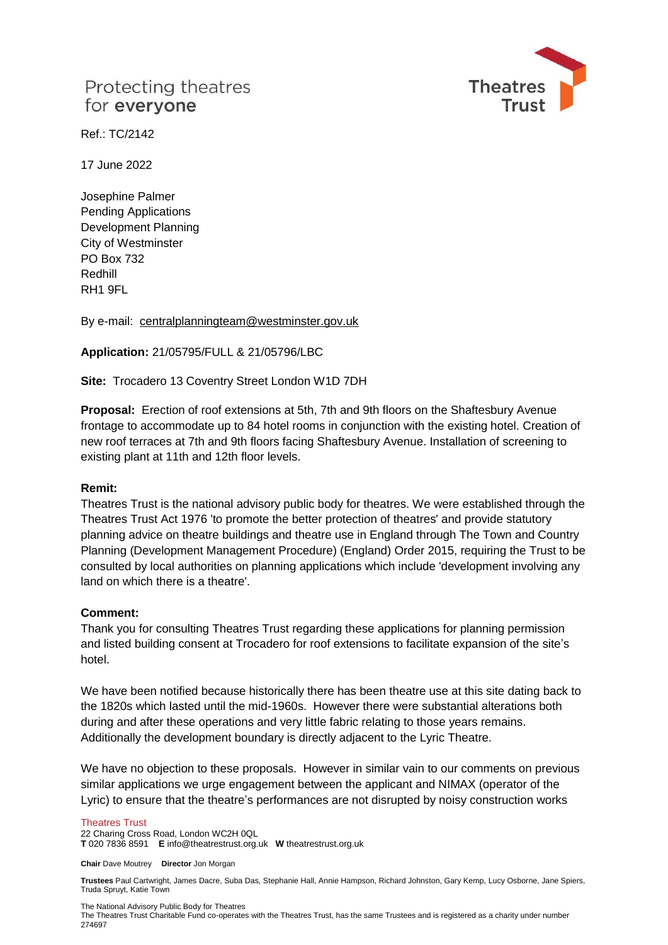# Protecting theatres for everyone



 $Ref \cdot TC/2142$ 

17 June 2022

Josephine Palmer Pending Applications Development Planning City of Westminster PO Box 732 Redhill RH1 9FL

By e-mail: [centralplanningteam@westminster.gov.uk](mailto:centralplanningteam@westminster.gov.uk)

**Application:** 21/05795/FULL & 21/05796/LBC

**Site:** Trocadero 13 Coventry Street London W1D 7DH

**Proposal:** Erection of roof extensions at 5th, 7th and 9th floors on the Shaftesbury Avenue frontage to accommodate up to 84 hotel rooms in conjunction with the existing hotel. Creation of new roof terraces at 7th and 9th floors facing Shaftesbury Avenue. Installation of screening to existing plant at 11th and 12th floor levels.

### **Remit:**

Theatres Trust is the national advisory public body for theatres. We were established through the Theatres Trust Act 1976 'to promote the better protection of theatres' and provide statutory planning advice on theatre buildings and theatre use in England through The Town and Country Planning (Development Management Procedure) (England) Order 2015, requiring the Trust to be consulted by local authorities on planning applications which include 'development involving any land on which there is a theatre'.

### **Comment:**

Thank you for consulting Theatres Trust regarding these applications for planning permission and listed building consent at Trocadero for roof extensions to facilitate expansion of the site's hotel.

We have been notified because historically there has been theatre use at this site dating back to the 1820s which lasted until the mid-1960s. However there were substantial alterations both during and after these operations and very little fabric relating to those years remains. Additionally the development boundary is directly adjacent to the Lyric Theatre.

We have no objection to these proposals. However in similar vain to our comments on previous similar applications we urge engagement between the applicant and NIMAX (operator of the Lyric) to ensure that the theatre's performances are not disrupted by noisy construction works

#### Theatres Trust

22 Charing Cross Road, London WC2H 0QL **T** 020 7836 8591 **E** info@theatrestrust.org.uk **W** theatrestrust.org.uk

**Chair** Dave Moutrey **Director** Jon Morgan

**Trustees** Paul Cartwright, James Dacre, Suba Das, Stephanie Hall, Annie Hampson, Richard Johnston, Gary Kemp, Lucy Osborne, Jane Spiers, Truda Spruyt, Katie Town

The National Advisory Public Body for Theatres

The Theatres Trust Charitable Fund co-operates with the Theatres Trust, has the same Trustees and is registered as a charity under number 274697